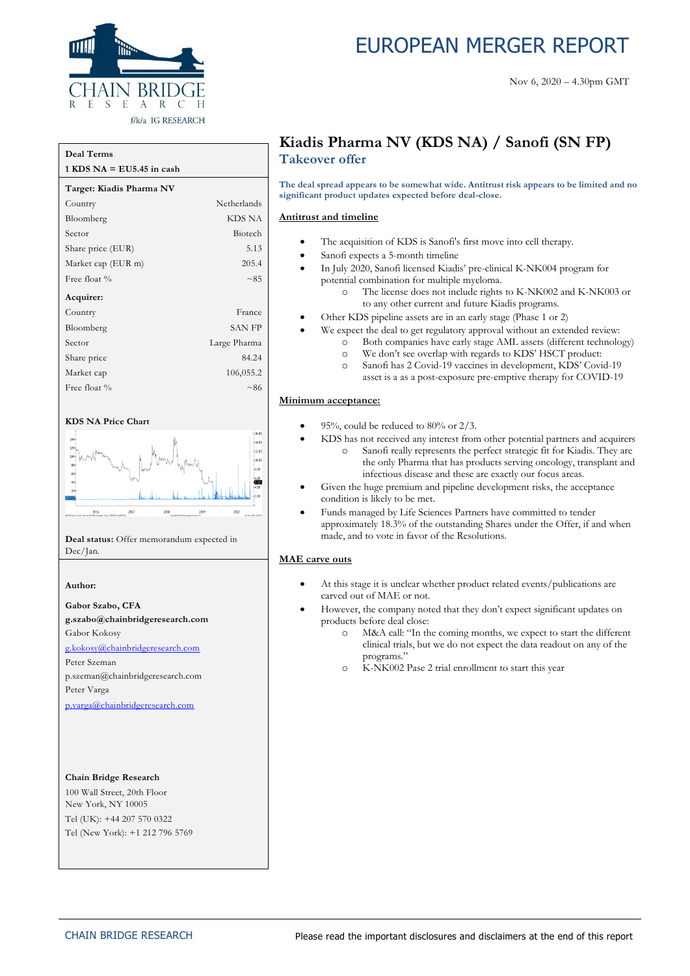

### **Deal Terms**

|  |  |  |  |  | $1 KDS NA = EU5.45$ in cash |  |  |  |  |
|--|--|--|--|--|-----------------------------|--|--|--|--|
|--|--|--|--|--|-----------------------------|--|--|--|--|

| Target: Kiadis Pharma NV |               |
|--------------------------|---------------|
| Country                  | Netherlands   |
| Bloomberg                | KDS NA        |
| Sector                   | Biotech       |
| Share price (EUR)        | 5.13          |
| Market cap (EUR m)       | 205.4         |
| Free float %             | $\sim 85$     |
| Acquirer:                |               |
| Country                  | France        |
| Bloomberg                | <b>SAN FP</b> |
| Sector                   | Large Pharma  |
| Share price              | 84.24         |
| Market cap               | 106,055.2     |
| Free float %             | ~86           |

### **KDS NA Price Chart**



**Deal status:** Offer memorandum expected in Dec/Jan.

### **Author:**

**Gabor Szabo, CFA g.szabo@chainbridgeresearch.com** Gabor Kokosy [g.kokosy@chainbridgeresearch.com](mailto:g.kokosy@chainbridgeresearch.com) Peter Szeman p.szeman@chainbridgeresearch.com

Peter Varga

[p.varga@chainbridgeresearch.com](mailto:p.varga@chainbridgeresearch.com)

### **Chain Bridge Research**

100 Wall Street, 20th Floor New York, NY 10005 Tel (UK): +44 207 570 0322 Tel (New York): +1 212 796 5769

# EUROPEAN MERGER REPORT

## **Kiadis Pharma NV (KDS NA) / Sanofi (SN FP) Takeover offer**

**The deal spread appears to be somewhat wide. Antitrust risk appears to be limited and no significant product updates expected before deal-close.**

### **Antitrust and timeline**

- The acquisition of KDS is Sanofi's first move into cell therapy.
- Sanofi expects a 5-month timeline
- In July 2020, Sanofi licensed Kiadis' pre-clinical K-NK004 program for potential combination for multiple myeloma.
	- The license does not include rights to K-NK002 and K-NK003 or to any other current and future Kiadis programs.
- Other KDS pipeline assets are in an early stage (Phase 1 or 2)
- We expect the deal to get regulatory approval without an extended review:
	- o Both companies have early stage AML assets (different technology)
	- o We don't see overlap with regards to KDS' HSCT product:
	- o Sanofi has 2 Covid-19 vaccines in development, KDS' Covid-19 asset is a as a post-exposure pre-emptive therapy for COVID-19

### **Minimum acceptance:**

- 95%, could be reduced to  $80\%$  or  $2/3$ .
	- KDS has not received any interest from other potential partners and acquirers Sanofi really represents the perfect strategic fit for Kiadis. They are the only Pharma that has products serving oncology, transplant and infectious disease and these are exactly our focus areas.
- Given the huge premium and pipeline development risks, the acceptance condition is likely to be met.
- Funds managed by Life Sciences Partners have committed to tender approximately 18.3% of the outstanding Shares under the Offer, if and when made, and to vote in favor of the Resolutions.

### **MAE carve outs**

- At this stage it is unclear whether product related events/publications are carved out of MAE or not.
- However, the company noted that they don't expect significant updates on products before deal close:
	- o M&A call: "In the coming months, we expect to start the different clinical trials, but we do not expect the data readout on any of the programs."
	- o K-NK002 Pase 2 trial enrollment to start this year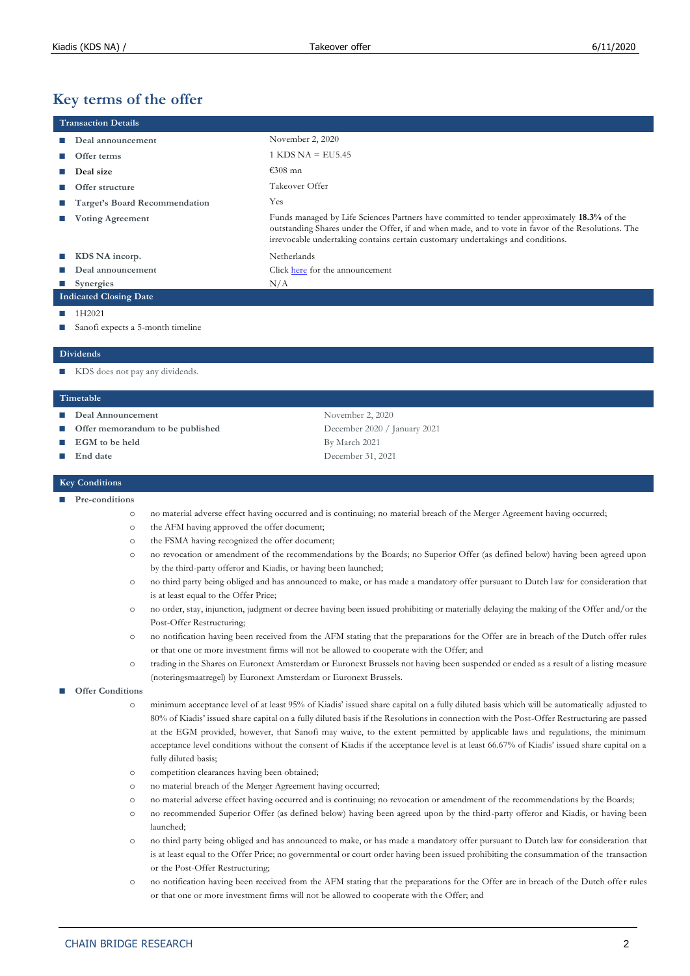### **Key terms of the offer**

| <b>Transaction Details</b>    |                                                                                                                                                                                                                                                                                      |  |  |  |  |
|-------------------------------|--------------------------------------------------------------------------------------------------------------------------------------------------------------------------------------------------------------------------------------------------------------------------------------|--|--|--|--|
| Deal announcement             | November 2, 2020                                                                                                                                                                                                                                                                     |  |  |  |  |
| Offer terms                   | $1$ KDS NA = EU5.45                                                                                                                                                                                                                                                                  |  |  |  |  |
| Deal size                     | €308 mn                                                                                                                                                                                                                                                                              |  |  |  |  |
| Offer structure               | Takeover Offer                                                                                                                                                                                                                                                                       |  |  |  |  |
| Target's Board Recommendation | Yes                                                                                                                                                                                                                                                                                  |  |  |  |  |
| <b>Voting Agreement</b>       | Funds managed by Life Sciences Partners have committed to tender approximately 18.3% of the<br>outstanding Shares under the Offer, if and when made, and to vote in favor of the Resolutions. The<br>irrevocable undertaking contains certain customary undertakings and conditions. |  |  |  |  |
| KDS NA incorp.                | Netherlands                                                                                                                                                                                                                                                                          |  |  |  |  |
| Deal announcement             | Click here for the announcement                                                                                                                                                                                                                                                      |  |  |  |  |
| $\blacksquare$ Synergies      | N/A                                                                                                                                                                                                                                                                                  |  |  |  |  |
| <b>Indicated Closing Date</b> |                                                                                                                                                                                                                                                                                      |  |  |  |  |
| $\blacksquare$ 1110001        |                                                                                                                                                                                                                                                                                      |  |  |  |  |

- **■** 1H2021
- Sanofi expects a 5-month timeline

#### **Dividends**

■ KDS does not pay any dividends.

#### **Timetable**

- **■ Deal Announcement**
- **■ Offer memorandum to be published**
- **■ EGM to be held**
- **■ End date**

November 2, 2020 December 2020 / January 2021 By March 2021 December 31, 2021

### **Key Conditions**

- **■ Pre-conditions**
	- o no material adverse effect having occurred and is continuing; no material breach of the Merger Agreement having occurred;
	- o the AFM having approved the offer document;
	- o the FSMA having recognized the offer document;
	- o no revocation or amendment of the recommendations by the Boards; no Superior Offer (as defined below) having been agreed upon by the third-party offeror and Kiadis, or having been launched;
	- o no third party being obliged and has announced to make, or has made a mandatory offer pursuant to Dutch l aw for consideration that is at least equal to the Offer Price;
	- o no order, stay, injunction, judgment or decree having been issued prohibiting or materially delaying the making of the Offer and/or the Post-Offer Restructuring;
	- o no notification having been received from the AFM stating that the preparations for the Offer are in breach of the Dutch offer rules or that one or more investment firms will not be allowed to cooperate with the Offer; and
	- o trading in the Shares on Euronext Amsterdam or Euronext Brussels not having been suspended or ended as a result of a listing measure (noteringsmaatregel) by Euronext Amsterdam or Euronext Brussels.

### **■ Offer Conditions**

- o minimum acceptance level of at least 95% of Kiadis' issued share capital on a fully diluted basis which will be automatically adjusted to 80% of Kiadis' issued share capital on a fully diluted basis if the Resolutions in connection with the Post-Offer Restructuring are passed at the EGM provided, however, that Sanofi may waive, to the extent permitted by applicable laws and regulations, the minimum acceptance level conditions without the consent of Kiadis if the acceptance level is at least 66.67% of Kiadis' issued share capital on a fully diluted basis;
- o competition clearances having been obtained;
- o no material breach of the Merger Agreement having occurred;
- o no material adverse effect having occurred and is continuing; no revocation or amendment of the recommendations by the Boards;
- o no recommended Superior Offer (as defined below) having been agreed upon by the third-party offeror and Kiadis, or having been launched;
- o no third party being obliged and has announced to make, or has made a mandatory offer pursuant to Dutch law for consideration that is at least equal to the Offer Price; no governmental or court order having been issued prohibiting the consummation of the transaction or the Post-Offer Restructuring;
- o no notification having been received from the AFM stating that the preparations for the Offer are in breach of the Dutch offe r rules or that one or more investment firms will not be allowed to cooperate with the Offer; and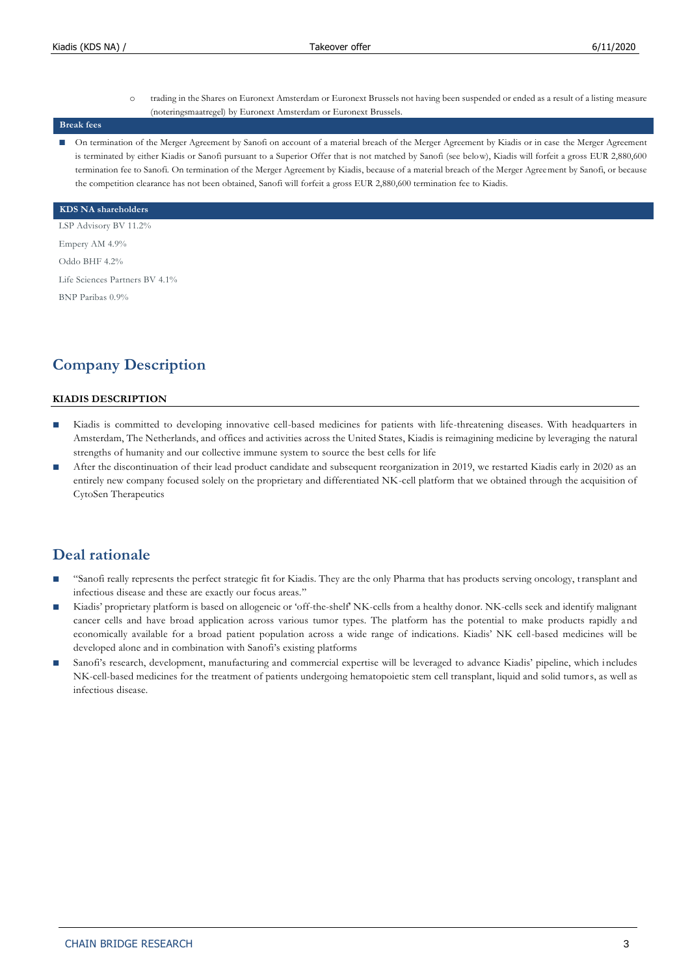o trading in the Shares on Euronext Amsterdam or Euronext Brussels not having been suspended or ended as a result of a listing measure (noteringsmaatregel) by Euronext Amsterdam or Euronext Brussels.

### **Break fees**

On termination of the Merger Agreement by Sanofi on account of a material breach of the Merger Agreement by Kiadis or in case the Merger Agreement is terminated by either Kiadis or Sanofi pursuant to a Superior Offer that is not matched by Sanofi (see below), Kiadis will forfeit a gross EUR 2,880,600 termination fee to Sanofi. On termination of the Merger Agreement by Kiadis, because of a material breach of the Merger Agreement by Sanofi, or because the competition clearance has not been obtained, Sanofi will forfeit a gross EUR 2,880,600 termination fee to Kiadis.

**KDS NA shareholders** LSP Advisory BV 11.2% Empery AM 4.9% Oddo BHF 4.2% Life Sciences Partners BV 4.1% BNP Paribas 0.9%

# **Company Description**

### **KIADIS DESCRIPTION**

- Kiadis is committed to developing innovative cell-based medicines for patients with life-threatening diseases. With headquarters in Amsterdam, The Netherlands, and offices and activities across the United States, Kiadis is reimagining medicine by leveraging the natural strengths of humanity and our collective immune system to source the best cells for life
- After the discontinuation of their lead product candidate and subsequent reorganization in 2019, we restarted Kiadis early in 2020 as an entirely new company focused solely on the proprietary and differentiated NK-cell platform that we obtained through the acquisition of CytoSen Therapeutics

### **Deal rationale**

- **■** "Sanofi really represents the perfect strategic fit for Kiadis. They are the only Pharma that has products serving oncology, transplant and infectious disease and these are exactly our focus areas."
- **■** Kiadis' proprietary platform is based on allogeneic or 'off-the-shelf' NK-cells from a healthy donor. NK-cells seek and identify malignant cancer cells and have broad application across various tumor types. The platform has the potential to make products rapidly and economically available for a broad patient population across a wide range of indications. Kiadis' NK cell-based medicines will be developed alone and in combination with Sanofi's existing platforms
- Sanofi's research, development, manufacturing and commercial expertise will be leveraged to advance Kiadis' pipeline, which includes NK-cell-based medicines for the treatment of patients undergoing hematopoietic stem cell transplant, liquid and solid tumors, as well as infectious disease.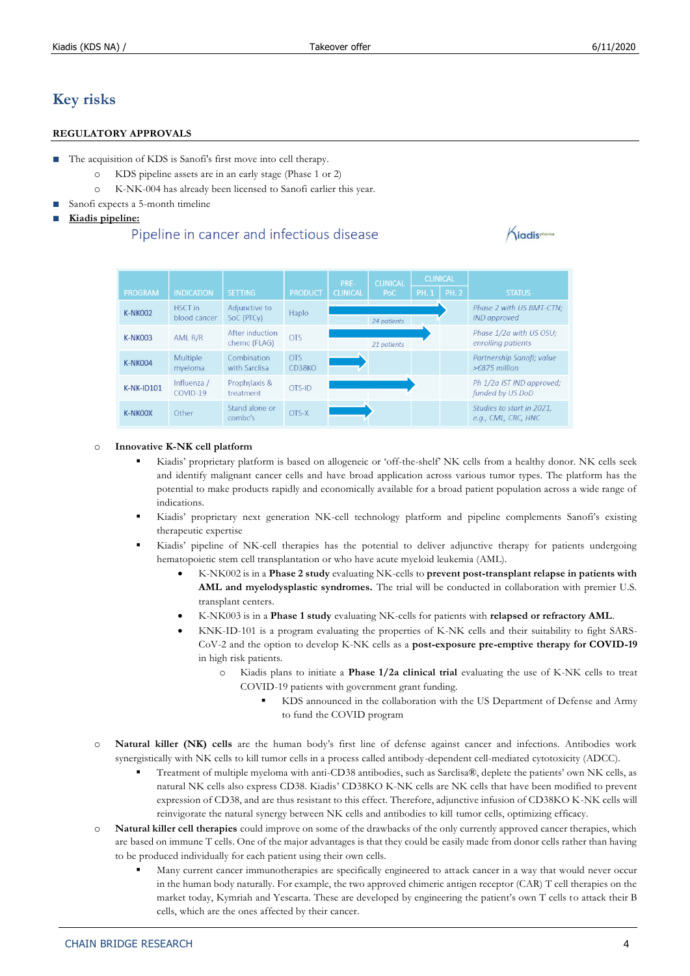# **Key risks**

### **REGULATORY APPROVALS**

- The acquisition of KDS is Sanofi's first move into cell therapy.
	- o KDS pipeline assets are in an early stage (Phase 1 or 2)
	- o K-NK-004 has already been licensed to Sanofi earlier this year.
	- Sanofi expects a 5-month timeline
- **■ Kiadis pipeline:**

### Pipeline in cancer and infectious disease





### o **Innovative K-NK cell platform**

- Kiadis' proprietary platform is based on allogeneic or 'off-the-shelf' NK cells from a healthy donor. NK cells seek and identify malignant cancer cells and have broad application across various tumor types. The platform has the potential to make products rapidly and economically available for a broad patient population across a wide range of indications.
- Kiadis' proprietary next generation NK-cell technology platform and pipeline complements Sanofi's existing therapeutic expertise
- Kiadis' pipeline of NK-cell therapies has the potential to deliver adjunctive therapy for patients undergoing hematopoietic stem cell transplantation or who have acute myeloid leukemia (AML).
	- K-NK002 is in a **Phase 2 study** evaluating NK-cells to **prevent post-transplant relapse in patients with AML and myelodysplastic syndromes.** The trial will be conducted in collaboration with premier U.S. transplant centers.
	- K-NK003 is in a **Phase 1 study** evaluating NK-cells for patients with **relapsed or refractory AML**.
	- KNK-ID-101 is a program evaluating the properties of K-NK cells and their suitability to fight SARS-CoV-2 and the option to develop K-NK cells as a **post-exposure pre-emptive therapy for COVID-19** in high risk patients.
		- o Kiadis plans to initiate a **Phase 1/2a clinical trial** evaluating the use of K-NK cells to treat COVID-19 patients with government grant funding.
			- KDS announced in the collaboration with the US Department of Defense and Army to fund the COVID program
- o **Natural killer (NK) cells** are the human body's first line of defense against cancer and infections. Antibodies work synergistically with NK cells to kill tumor cells in a process called antibody-dependent cell-mediated cytotoxicity (ADCC).
	- Treatment of multiple myeloma with anti-CD38 antibodies, such as Sarclisa®, deplete the patients' own NK cells, as natural NK cells also express CD38. Kiadis' CD38KO K-NK cells are NK cells that have been modified to prevent expression of CD38, and are thus resistant to this effect. Therefore, adjunctive infusion of CD38KO K-NK cells will reinvigorate the natural synergy between NK cells and antibodies to kill tumor cells, optimizing efficacy.
- o **Natural killer cell therapies** could improve on some of the drawbacks of the only currently approved cancer therapies, which are based [on immune T cells.](https://www.labiotech.eu/car-t/car-t-therapy-cancer-review/) One of the major advantages is that they could be easily made from donor cells rather than having to be produced individually for each patient using their own cells.
	- Many current cancer immunotherapies are specifically engineered to attack cancer in a way that would never occur in the human body naturally. For example, the two approved chimeric antigen receptor (CAR) T cell therapies on the market today, Kymriah and Yescarta. These are developed by engineering the patient's own T cells to attack their B cells, which are the ones affected by their cancer.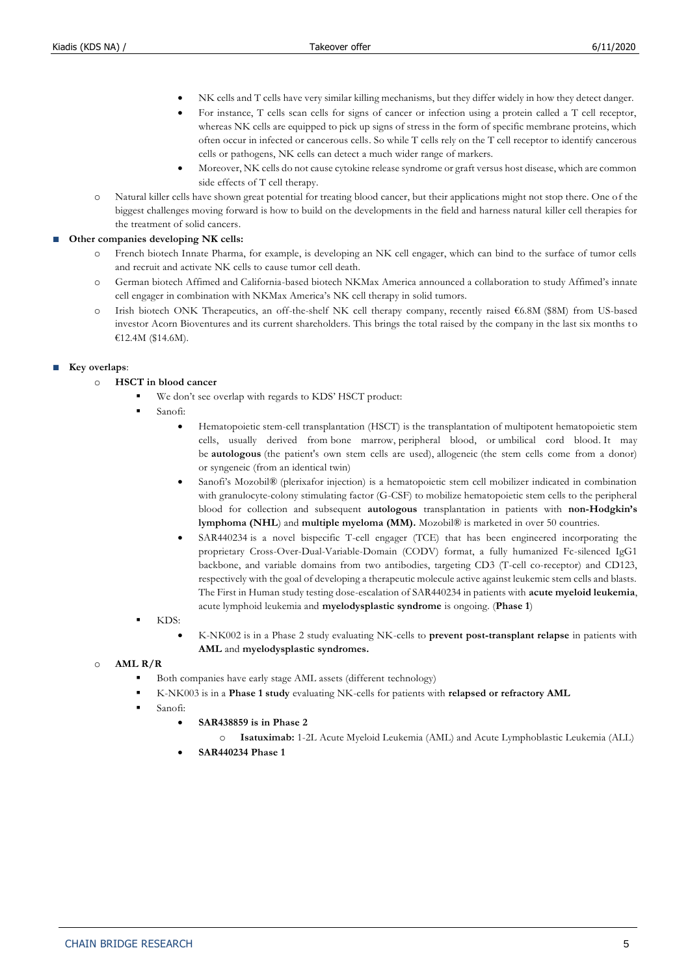- NK cells and T cells have very similar killing mechanisms, but they differ widely in how they detect danger.
- For instance, T cells scan cells for signs of cancer or infection using a protein called a T cell receptor, whereas NK cells are equipped to pick up signs of stress in the form of specific membrane proteins, which often occur in infected or cancerous cells. So while T cells rely on the T cell receptor to identify cancerous cells or pathogens, NK cells can detect a much wider range of markers.
- Moreover, NK cells do not cause cytokine release syndrome or graft versus host disease, which are common side effects of T cell therapy.
- o Natural killer cells have shown great potential for treating blood cancer, but their applications might not stop there. One of the biggest challenges moving forward is how to build on the developments in the field and harness natural killer cell therapies for the treatment of solid cancers.

### **■ Other companies developing NK cells:**

- o French biotech Innate Pharma, for example, is developing an NK cell engager, which can bind to the surface of tumor cells and recruit and activate NK cells to cause tumor cell death.
- o German biotech Affimed and California-based biotech NKMax America [announced a collaboration](https://www.affimed.com/affimed-and-nkmax-america-to-study-the-combination-of-afm24-an-egfr-targeted-innate-cell-engager-with-snk01-natural-killer-cell-therapy/) to study Affimed's innate cell engager in combination with NKMax America's NK cell therapy in solid tumors.
- o Irish biotech ONK Therapeutics, an off-the-shelf NK cell therapy company, [recently raised €6.8M](https://www.businesswire.com/news/home/20201019005051/en/ONK-Therapeutics-Closes-New-Financing-and-Appoints-Chris-Nowers-as-CEO) (\$8M) from US-based investor Acorn Bioventures and its current shareholders. This brings the total raised by the company in the last six months to €12.4M (\$14.6M).

### **■ Key overlaps**:

### o **HSCT in blood cancer**

- We don't see overlap with regards to KDS' HSCT product:
- Sanofi:
	- Hematopoietic stem-cell transplantation (HSCT) is the [transplantation](https://en.wikipedia.org/wiki/Organ_transplantation) of [multipotent hematopoietic stem](https://en.wikipedia.org/wiki/Multipotent_hematopoietic_stem_cell)  [cells,](https://en.wikipedia.org/wiki/Multipotent_hematopoietic_stem_cell) usually derived from [bone marrow,](https://en.wikipedia.org/wiki/Bone_marrow) [peripheral blood,](https://en.wikipedia.org/wiki/Peripheral_blood) or [umbilical cord blood.](https://en.wikipedia.org/wiki/Umbilical_cord_blood) It may be **[autologous](https://en.wikipedia.org/wiki/Autologous_stem_cell_transplantation)** (the patient's own stem cells are used), [allogeneic](https://en.wikipedia.org/wiki/Allotransplantation) (the stem cells come from a donor) or [syngeneic](https://en.wikipedia.org/wiki/Syngeneic_stem_cell_transplantation) (from an [identical twin\)](https://en.wikipedia.org/wiki/Identical_twin)
	- Sanofi's Mozobil® (plerixafor injection) is a hematopoietic stem cell mobilizer indicated in combination with granulocyte-colony stimulating factor (G-CSF) to mobilize hematopoietic stem cells to the peripheral blood for collection and subsequent **autologous** transplantation in patients with **non-Hodgkin's lymphoma (NHL**) and **multiple myeloma (MM).** Mozobil® is marketed in over 50 countries.
	- SAR440234 is a novel bispecific T-cell engager (TCE) that has been engineered incorporating the proprietary Cross-Over-Dual-Variable-Domain (CODV) format, a fully humanized Fc-silenced IgG1 backbone, and variable domains from two antibodies, targeting CD3 (T-cell co-receptor) and CD123, respectively with the goal of developing a therapeutic molecule active against leukemic stem cells and blasts. The First in Human study testing dose-escalation of SAR440234 in patients with **acute myeloid leukemia**, acute lymphoid leukemia and **myelodysplastic syndrome** is ongoing. (**Phase 1**)
- KDS:
	- K-NK002 is in a Phase 2 study evaluating NK-cells to **prevent post-transplant relapse** in patients with **AML** and **myelodysplastic syndromes.**

### o **AML R/R**

- Both companies have early stage AML assets (different technology)
- K-NK003 is in a **Phase 1 study** evaluating NK-cells for patients with **relapsed or refractory AML**
- Sanofi:
	- **SAR438859 is in Phase 2**
		- o **Isatuximab:** 1-2L Acute Myeloid Leukemia (AML) and Acute Lymphoblastic Leukemia (ALL)
	- **SAR440234 Phase 1**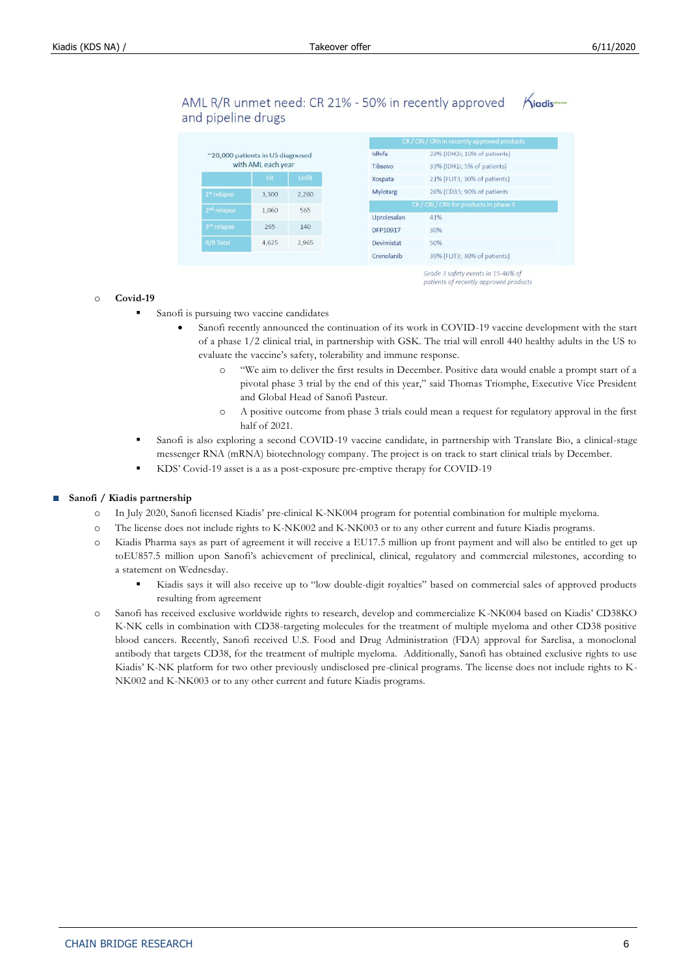$K<sub>iodis<sub>phamo</sub></sub>$ 

AML R/R unmet need: CR 21% - 50% in recently approved and pipeline drugs

| ~20,000 patients in US diagnosed |                    |         |                             | CR / CRi / CRh in recently approved products |  |
|----------------------------------|--------------------|---------|-----------------------------|----------------------------------------------|--|
|                                  |                    |         | Idhifa                      | 23% (IDH2i; 10% of patients)                 |  |
|                                  | with AML each year | Tibsovo | 33% (IDH1i; 5% of patients) |                                              |  |
|                                  | Fit                | Unfit   | Xospata                     | 21% (FLIT3: 30% of patients)                 |  |
| 1 <sup>st</sup> relapse          | 3,300              | 2.260   | Mylotarg                    | 26% (CD33; 90% of patients                   |  |
| 2 <sup>nd</sup> relapse          | 1.060              | 565     |                             | CR / CRi / CRh for products in phase 3       |  |
|                                  |                    |         | Uprolesalan                 | 41%                                          |  |
| 3rd relapse                      | 265                | 140     | DFP10917                    | 30%                                          |  |
| R/R Total                        | 4.625              | 2.965   | Devimistat                  | 50%                                          |  |
|                                  |                    |         | Crenolanib                  | 39% (FLIT3: 30% of patients)                 |  |

Grade 3 safety events in 15-46% of patients of recently approved products

### o **Covid-19**

- Sanofi is pursuing two vaccine candidates
	- Sanofi recently announced the continuation of its work in COVID-19 vaccine development with the start of a phase 1/2 clinical trial, in partnership with GSK. The trial will enroll 440 healthy adults in the US to evaluate the vaccine's safety, tolerability and immune response.
		- o "We aim to deliver the first results in December. Positive data would enable a prompt start of a pivotal phase 3 trial by the end of this year," said Thomas Triomphe, Executive Vice President and Global Head of Sanofi Pasteur.
		- o A positive outcome from phase 3 trials could mean a request for regulatory approval in the first half of 2021.
- Sanofi is also exploring a second COVID-19 vaccine candidate, in partnership with Translate Bio, a clinical-stage [messenger RNA \(mRNA\) biotechnology company.](https://www.sanofi.com/en/media-room/press-releases/2020/2020-03-27-07-00-00) The project is on track to start clinical trials by December.
- KDS' Covid-19 asset is a as a post-exposure pre-emptive therapy for COVID-19

### **■ Sanofi / Kiadis partnership**

- o In July 2020, Sanofi licensed Kiadis' pre-clinical K-NK004 program for potential combination for multiple myeloma.
- o The license does not include rights to K-NK002 and K-NK003 or to any other current and future Kiadis programs.
- o Kiadis Pharma says as part of agreement it will receive a EU17.5 million up front payment and will also be entitled to get up toEU857.5 million upon Sanofi's achievement of preclinical, clinical, regulatory and commercial milestones, according to a statement on Wednesday.
	- Kiadis says it will also receive up to "low double-digit royalties" based on commercial sales of approved products resulting from agreement
- o Sanofi has received exclusive worldwide rights to research, develop and commercialize K-NK004 based on Kiadis' CD38KO K-NK cells in combination with CD38-targeting molecules for the treatment of multiple myeloma and other CD38 positive blood cancers. Recently, Sanofi received U.S. Food and Drug Administration (FDA) approval for Sarclisa, a monoclonal antibody that targets CD38, for the treatment of multiple myeloma. Additionally, Sanofi has obtained exclusive rights to use Kiadis' K-NK platform for two other previously undisclosed pre-clinical programs. The license does not include rights to K-NK002 and K-NK003 or to any other current and future Kiadis programs.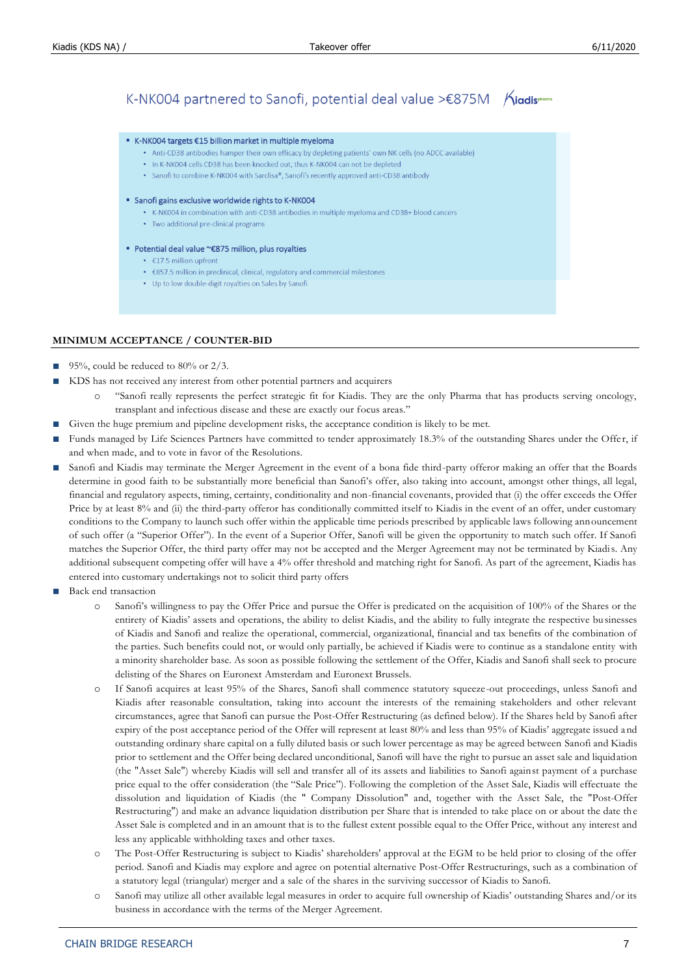### K-NK004 partnered to Sanofi, potential deal value >€875M Kiadis

#### ■ K-NK004 targets €15 billion market in multiple myeloma

- . Anti-CD38 antibodies hamper their own efficacy by depleting patients' own NK cells (no ADCC available)
	- . In K-NK004 cells CD38 has been knocked out thus K-NK004 can not be depleted
	- Sanofi to combine K-NK004 with Sarclisa®, Sanofi's recently approved anti-CD38 antibody

#### Sanofi gains exclusive worldwide rights to K-NK004

- . K-NK004 in combination with anti-CD38 antibodies in multiple myeloma and CD38+ blood cancers
- Two additional pre-clinical programs

#### ■ Potential deal value ~€875 million, plus royalties

- $\cdot$   $\in$  17.5 million upfront
- €857.5 million in preclinical, clinical, regulatory and commercial milestones
- Up to low double-digit royalties on Sales by Sanofi

#### **MINIMUM ACCEPTANCE / COUNTER-BID**

- **■** 95%, could be reduced to 80% or 2/3.
- KDS has not received any interest from other potential partners and acquirers
	- o "Sanofi really represents the perfect strategic fit for Kiadis. They are the only Pharma that has products serving oncology, transplant and infectious disease and these are exactly our focus areas."
- Given the huge premium and pipeline development risks, the acceptance condition is likely to be met.
- Funds managed by Life Sciences Partners have committed to tender approximately 18.3% of the outstanding Shares under the Offer, if and when made, and to vote in favor of the Resolutions.
- Sanofi and Kiadis may terminate the Merger Agreement in the event of a bona fide third-party offeror making an offer that the Boards determine in good faith to be substantially more beneficial than Sanofi's offer, also taking into account, amongst other things, all legal, financial and regulatory aspects, timing, certainty, conditionality and non-financial covenants, provided that (i) the offer exceeds the Offer Price by at least 8% and (ii) the third-party offeror has conditionally committed itself to Kiadis in the event of an offer, under customary conditions to the Company to launch such offer within the applicable time periods prescribed by applicable laws following announcement of such offer (a "Superior Offer"). In the event of a Superior Offer, Sanofi will be given the opportunity to match such offer. If Sanofi matches the Superior Offer, the third party offer may not be accepted and the Merger Agreement may not be terminated by Kiadis. Any additional subsequent competing offer will have a 4% offer threshold and matching right for Sanofi. As part of the agreement, Kiadis has entered into customary undertakings not to solicit third party offers
- Back end transaction
	- o Sanofi's willingness to pay the Offer Price and pursue the Offer is predicated on the acquisition of 100% of the Shares or the entirety of Kiadis' assets and operations, the ability to delist Kiadis, and the ability to fully integrate the respective bu sinesses of Kiadis and Sanofi and realize the operational, commercial, organizational, financial and tax benefits of the combination of the parties. Such benefits could not, or would only partially, be achieved if Kiadis were to continue as a standalone entity with a minority shareholder base. As soon as possible following the settlement of the Offer, Kiadis and Sanofi shall seek to procure delisting of the Shares on Euronext Amsterdam and Euronext Brussels.
	- If Sanofi acquires at least 95% of the Shares, Sanofi shall commence statutory squeeze-out proceedings, unless Sanofi and Kiadis after reasonable consultation, taking into account the interests of the remaining stakeholders and other relevant circumstances, agree that Sanofi can pursue the Post-Offer Restructuring (as defined below). If the Shares held by Sanofi after expiry of the post acceptance period of the Offer will represent at least 80% and less than 95% of Kiadis' aggregate issued a nd outstanding ordinary share capital on a fully diluted basis or such lower percentage as may be agreed between Sanofi and Kiadis prior to settlement and the Offer being declared unconditional, Sanofi will have the right to pursue an asset sale and liquidation (the "Asset Sale") whereby Kiadis will sell and transfer all of its assets and liabilities to Sanofi against payment of a purchase price equal to the offer consideration (the "Sale Price"). Following the completion of the Asset Sale, Kiadis will effectuate the dissolution and liquidation of Kiadis (the " Company Dissolution" and, together with the Asset Sale, the "Post-Offer Restructuring") and make an advance liquidation distribution per Share that is intended to take place on or about the date the Asset Sale is completed and in an amount that is to the fullest extent possible equal to the Offer Price, without any interest and less any applicable withholding taxes and other taxes.
	- o The Post-Offer Restructuring is subject to Kiadis' shareholders' approval at the EGM to be held prior to closing of the offer period. Sanofi and Kiadis may explore and agree on potential alternative Post-Offer Restructurings, such as a combination of a statutory legal (triangular) merger and a sale of the shares in the surviving successor of Kiadis to Sanofi.
	- o Sanofi may utilize all other available legal measures in order to acquire full ownership of Kiadis' outstanding Shares and/or its business in accordance with the terms of the Merger Agreement.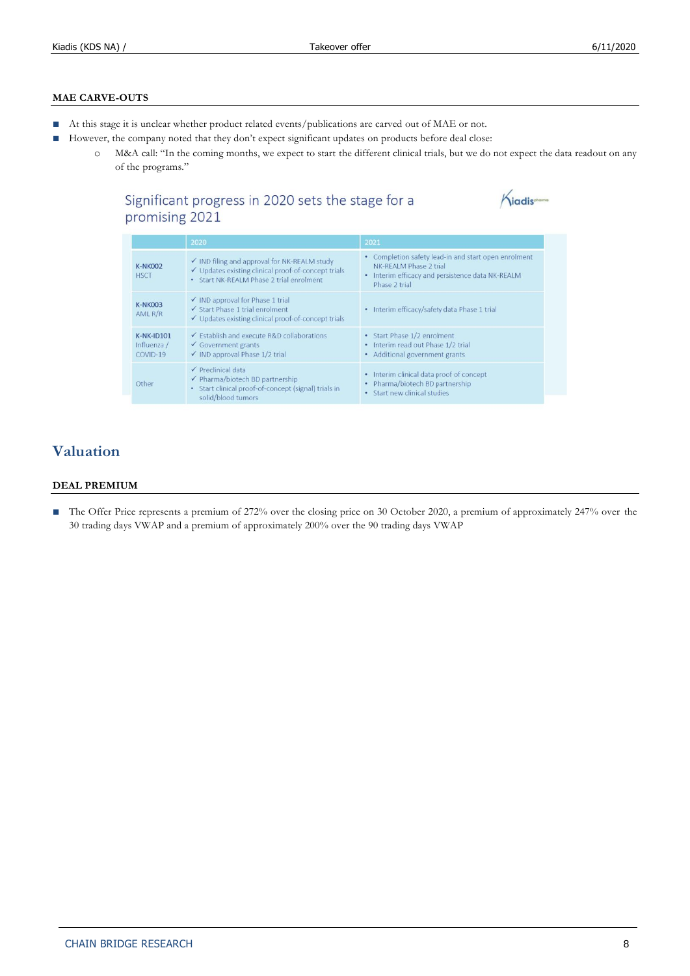### **MAE CARVE-OUTS**

- At this stage it is unclear whether product related events/publications are carved out of MAE or not.
- However, the company noted that they don't expect significant updates on products before deal close:
	- o M&A call: "In the coming months, we expect to start the different clinical trials, but we do not expect the data readout on any of the programs."

### Significant progress in 2020 sets the stage for a promising 2021



|                                              | 2020                                                                                                                                             | 2021                                                                                                                                              |
|----------------------------------------------|--------------------------------------------------------------------------------------------------------------------------------------------------|---------------------------------------------------------------------------------------------------------------------------------------------------|
| <b>K-NK002</b><br><b>HSCT</b>                | √ IND filing and approval for NK-REALM study<br>✔ Updates existing clinical proof-of-concept trials<br>• Start NK-RFALM Phase 2 trial enrolment  | • Completion safety lead-in and start open enrolment<br>NK-REALM Phase 2 trial<br>Interim efficacy and persistence data NK-REALM<br>Phase 2 trial |
| <b>K-NK003</b><br>AML R/R                    | $\checkmark$ IND approval for Phase 1 trial<br>$\checkmark$ Start Phase 1 trial enrolment<br>√ Updates existing clinical proof-of-concept trials | Interim efficacy/safety data Phase 1 trial<br>٠                                                                                                   |
| <b>K-NK-ID101</b><br>Influenza /<br>COVID-19 | ✔ Establish and execute R&D collaborations<br>$\checkmark$ Government grants<br>$\checkmark$ IND approval Phase 1/2 trial                        | • Start Phase 1/2 enrolment<br>Interim read out Phase 1/2 trial<br>$\bullet$ .<br>• Additional government grants                                  |
| Other                                        | $\checkmark$ Preclinical data<br>← Pharma/biotech BD partnership<br>• Start clinical proof-of-concept (signal) trials in<br>solid/blood tumors   | • Interim clinical data proof of concept<br>Pharma/biotech BD partnership<br>• Start new clinical studies                                         |

# **Valuation**

### **DEAL PREMIUM**

■ The Offer Price represents a premium of 272% over the closing price on 30 October 2020, a premium of approximately 247% over the 30 trading days VWAP and a premium of approximately 200% over the 90 trading days VWAP